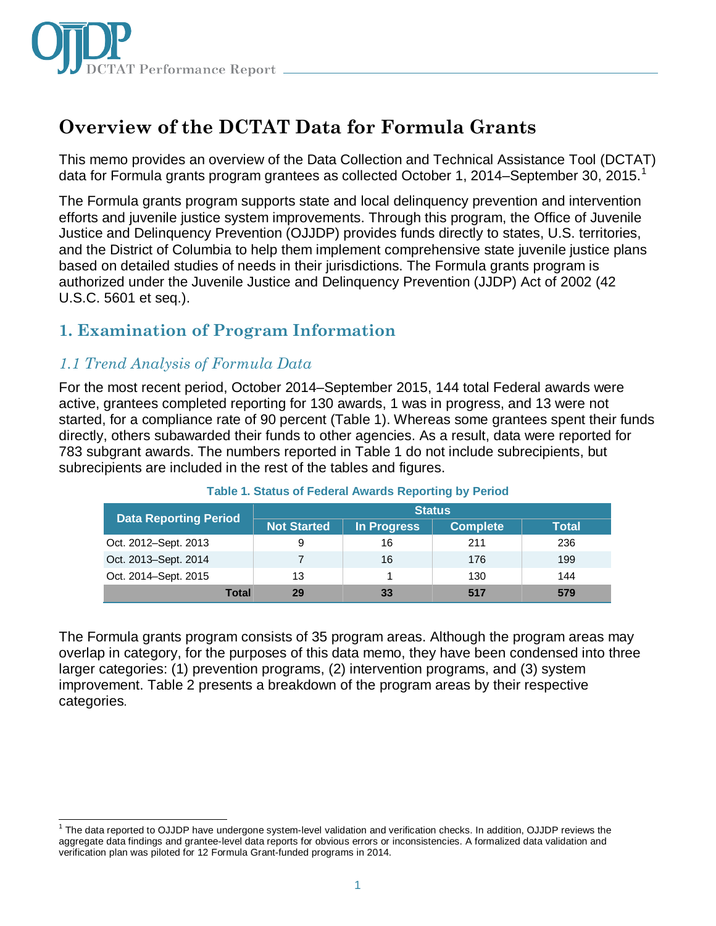

# **Overview of the DCTAT Data for Formula Grants**

This memo provides an overview of the Data Collection and Technical Assistance Tool (DCTAT) data for Formula grants program grantees as collected October [1](#page-0-0), 2014–September 30, 2015.<sup>1</sup>

The Formula grants program supports state and local delinquency prevention and intervention efforts and juvenile justice system improvements. Through this program, the Office of Juvenile Justice and Delinquency Prevention (OJJDP) provides funds directly to states, U.S. territories, and the District of Columbia to help them implement comprehensive state juvenile justice plans based on detailed studies of needs in their jurisdictions. The Formula grants program is authorized under the Juvenile Justice and Delinquency Prevention (JJDP) Act of 2002 (42 U.S.C. 5601 et seq.).

# **1. Examination of Program Information**

### *1.1 Trend Analysis of Formula Data*

For the most recent period, October 2014–September 2015, 144 total Federal awards were active, grantees completed reporting for 130 awards, 1 was in progress, and 13 were not started, for a compliance rate of 90 percent (Table 1). Whereas some grantees spent their funds directly, others subawarded their funds to other agencies. As a result, data were reported for 783 subgrant awards. The numbers reported in Table 1 do not include subrecipients, but subrecipients are included in the rest of the tables and figures.

| <b>Data Reporting Period</b> | <b>Status</b>      |                    |                 |              |
|------------------------------|--------------------|--------------------|-----------------|--------------|
|                              | <b>Not Started</b> | <b>In Progress</b> | <b>Complete</b> | <b>Total</b> |
| Oct. 2012–Sept. 2013         | 9                  | 16                 | 211             | 236          |
| Oct. 2013–Sept. 2014         |                    | 16                 | 176             | 199          |
| Oct. 2014–Sept. 2015         | 13                 |                    | 130             | 144          |
| Total                        | 29                 | 33                 | 517             | 579          |

#### **Table 1. Status of Federal Awards Reporting by Period**

The Formula grants program consists of 35 program areas. Although the program areas may overlap in category, for the purposes of this data memo, they have been condensed into three larger categories: (1) prevention programs, (2) intervention programs, and (3) system improvement. Table 2 presents a breakdown of the program areas by their respective categories.

<span id="page-0-0"></span>j <sup>1</sup> The data reported to OJJDP have undergone system-level validation and verification checks. In addition, OJJDP reviews the aggregate data findings and grantee-level data reports for obvious errors or inconsistencies. A formalized data validation and verification plan was piloted for 12 Formula Grant-funded programs in 2014.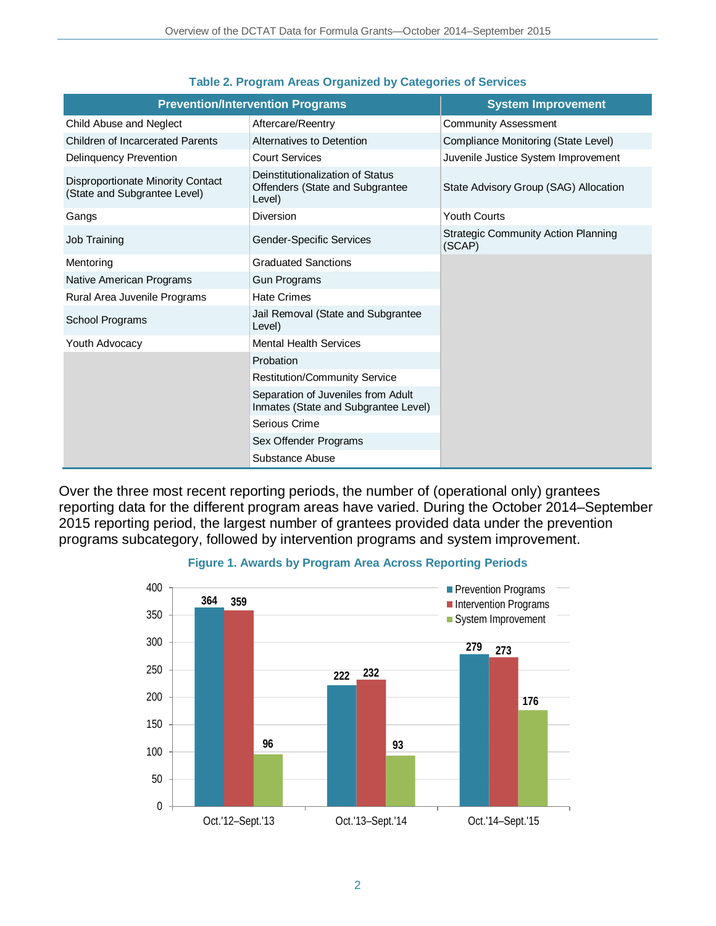| <b>Prevention/Intervention Programs</b>                           |                                                                               | <b>System Improvement</b>                            |
|-------------------------------------------------------------------|-------------------------------------------------------------------------------|------------------------------------------------------|
| Child Abuse and Neglect                                           | Aftercare/Reentry                                                             | <b>Community Assessment</b>                          |
| <b>Children of Incarcerated Parents</b>                           | Alternatives to Detention                                                     | Compliance Monitoring (State Level)                  |
| Delinguency Prevention                                            | <b>Court Services</b>                                                         | Juvenile Justice System Improvement                  |
| Disproportionate Minority Contact<br>(State and Subgrantee Level) | Deinstitutionalization of Status<br>Offenders (State and Subgrantee<br>Level) | State Advisory Group (SAG) Allocation                |
| Gangs                                                             | <b>Diversion</b>                                                              | <b>Youth Courts</b>                                  |
| Job Training                                                      | <b>Gender-Specific Services</b>                                               | <b>Strategic Community Action Planning</b><br>(SCAP) |
| Mentoring                                                         | <b>Graduated Sanctions</b>                                                    |                                                      |
| Native American Programs                                          | <b>Gun Programs</b>                                                           |                                                      |
| Rural Area Juvenile Programs                                      | <b>Hate Crimes</b>                                                            |                                                      |
| School Programs                                                   | Jail Removal (State and Subgrantee<br>Level)                                  |                                                      |
| Youth Advocacy                                                    | <b>Mental Health Services</b>                                                 |                                                      |
|                                                                   | Probation                                                                     |                                                      |
|                                                                   | <b>Restitution/Community Service</b>                                          |                                                      |
|                                                                   | Separation of Juveniles from Adult<br>Inmates (State and Subgrantee Level)    |                                                      |
|                                                                   | Serious Crime                                                                 |                                                      |
|                                                                   | Sex Offender Programs                                                         |                                                      |
|                                                                   | Substance Abuse                                                               |                                                      |

#### **Table 2. Program Areas Organized by Categories of Services**

Over the three most recent reporting periods, the number of (operational only) grantees reporting data for the different program areas have varied. During the October 2014–September 2015 reporting period, the largest number of grantees provided data under the prevention programs subcategory, followed by intervention programs and system improvement.



#### **Figure 1. Awards by Program Area Across Reporting Periods**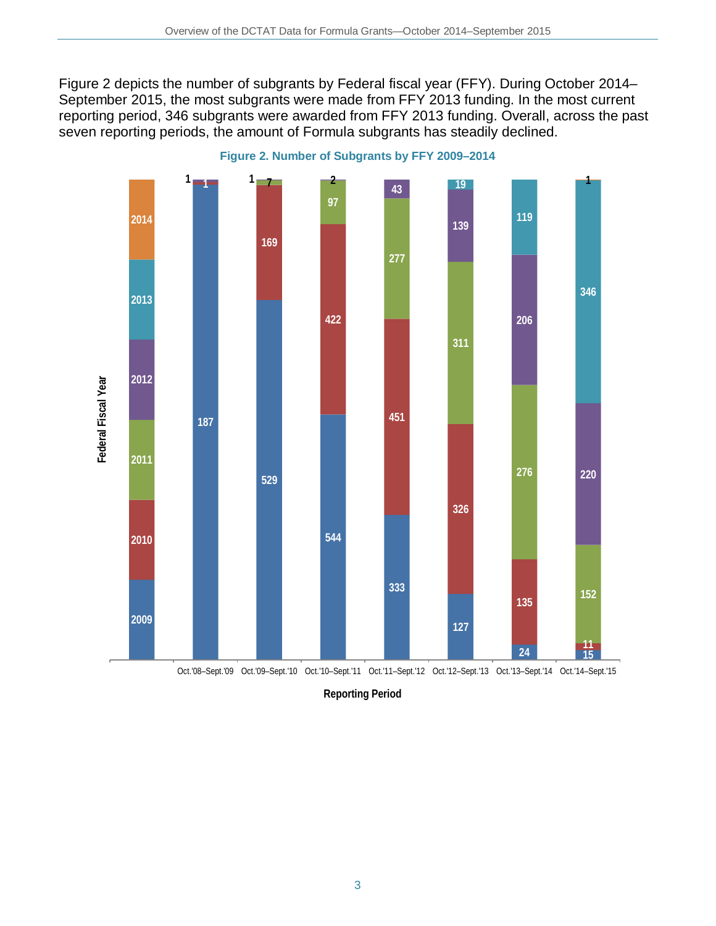Figure 2 depicts the number of subgrants by Federal fiscal year (FFY). During October 2014– September 2015, the most subgrants were made from FFY 2013 funding. In the most current reporting period, 346 subgrants were awarded from FFY 2013 funding. Overall, across the past seven reporting periods, the amount of Formula subgrants has steadily declined.



**Figure 2. Number of Subgrants by FFY 2009–2014**

**Reporting Period**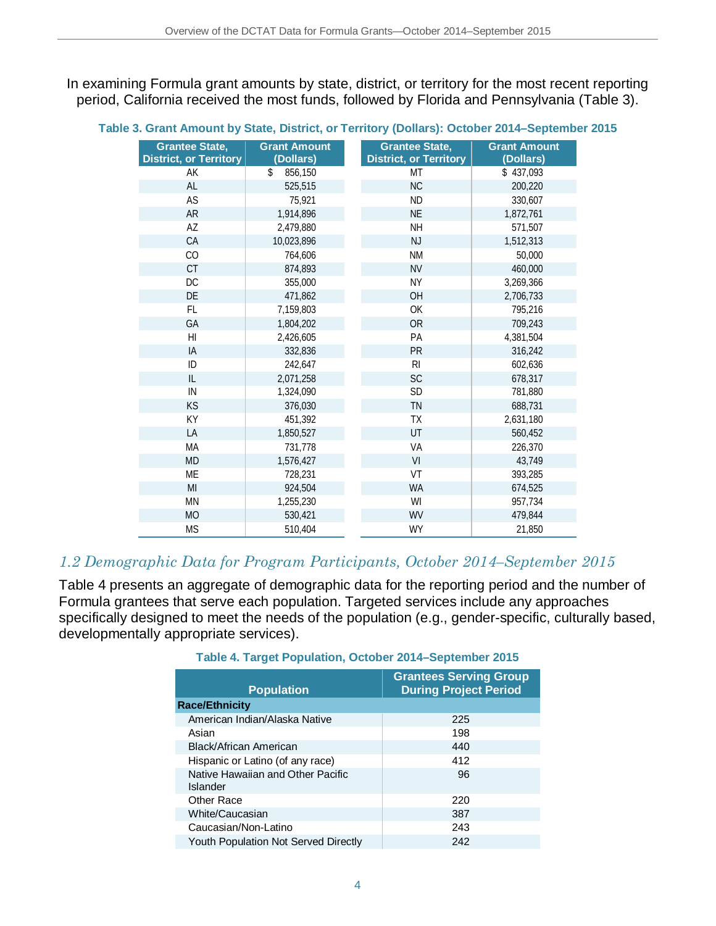In examining Formula grant amounts by state, district, or territory for the most recent reporting period, California received the most funds, followed by Florida and Pennsylvania (Table 3).

| <b>Grantee State,</b><br><b>District, or Territory</b> | <b>Grant Amount</b><br>(Dollars) | <b>Grantee State,</b><br><b>District, or Territory</b> | <b>Grant Amount</b><br>(Dollars) |
|--------------------------------------------------------|----------------------------------|--------------------------------------------------------|----------------------------------|
| АK                                                     | \$<br>856,150                    | <b>MT</b>                                              | \$437,093                        |
| AL                                                     | 525,515                          | NC                                                     | 200,220                          |
| AS                                                     | 75,921                           | <b>ND</b>                                              | 330,607                          |
| <b>AR</b>                                              | 1,914,896                        | <b>NE</b>                                              | 1,872,761                        |
| AZ                                                     | 2,479,880                        | <b>NH</b>                                              | 571,507                          |
| CA                                                     | 10,023,896                       | <b>NJ</b>                                              | 1,512,313                        |
| CO                                                     | 764,606                          | <b>NM</b>                                              | 50,000                           |
| CT                                                     | 874,893                          | <b>NV</b>                                              | 460,000                          |
| DC                                                     | 355,000                          | <b>NY</b>                                              | 3,269,366                        |
| DE                                                     | 471,862                          | OH                                                     | 2,706,733                        |
| <b>FL</b>                                              | 7,159,803                        | OK                                                     | 795,216                          |
| GA                                                     | 1,804,202                        | <b>OR</b>                                              | 709,243                          |
| H <sub>l</sub>                                         | 2,426,605                        | PA                                                     | 4,381,504                        |
| IA                                                     | 332,836                          | PR                                                     | 316,242                          |
| ID                                                     | 242,647                          | R <sub>l</sub>                                         | 602,636                          |
| IL                                                     | 2,071,258                        | <b>SC</b>                                              | 678.317                          |
| IN                                                     | 1,324,090                        | SD                                                     | 781,880                          |
| KS                                                     | 376,030                          | TN                                                     | 688,731                          |
| KY                                                     | 451,392                          | <b>TX</b>                                              | 2,631,180                        |
| LA                                                     | 1,850,527                        | UT                                                     | 560.452                          |
| MA                                                     | 731,778                          | VA                                                     | 226,370                          |
| <b>MD</b>                                              | 1,576,427                        | VI                                                     | 43,749                           |
| <b>ME</b>                                              | 728,231                          | VT                                                     | 393,285                          |
| MI                                                     | 924,504                          | <b>WA</b>                                              | 674,525                          |
| <b>MN</b>                                              | 1,255,230                        | WI                                                     | 957,734                          |
| <b>MO</b>                                              | 530,421                          | WV                                                     | 479,844                          |
| <b>MS</b>                                              | 510,404                          | WY                                                     | 21,850                           |

#### **Table 3. Grant Amount by State, District, or Territory (Dollars): October 2014–September 2015**

### *1.2 Demographic Data for Program Participants, October 2014–September 2015*

Table 4 presents an aggregate of demographic data for the reporting period and the number of Formula grantees that serve each population. Targeted services include any approaches specifically designed to meet the needs of the population (e.g., gender-specific, culturally based, developmentally appropriate services).

| <b>Population</b>                             | <b>Grantees Serving Group</b><br><b>During Project Period</b> |
|-----------------------------------------------|---------------------------------------------------------------|
| <b>Race/Ethnicity</b>                         |                                                               |
| American Indian/Alaska Native                 | 225                                                           |
| Asian                                         | 198                                                           |
| Black/African American                        | 440                                                           |
| Hispanic or Latino (of any race)              | 412                                                           |
| Native Hawaiian and Other Pacific<br>Islander | 96                                                            |
| Other Race                                    | 220                                                           |
| White/Caucasian                               | 387                                                           |
| Caucasian/Non-Latino                          | 243                                                           |
| <b>Youth Population Not Served Directly</b>   | 242                                                           |

#### **Table 4. Target Population, October 2014–September 2015**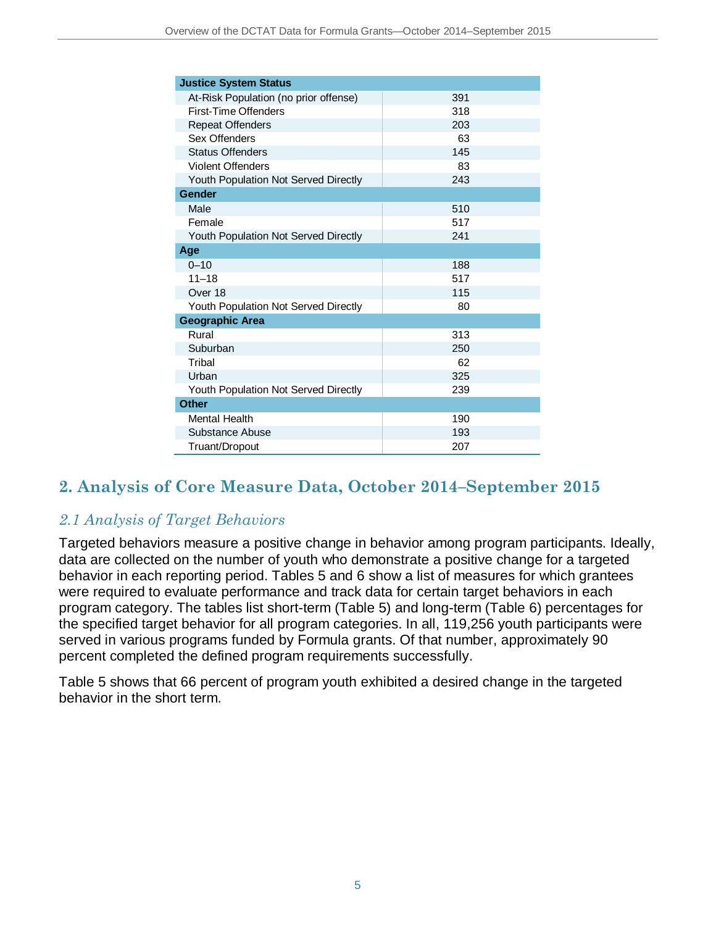| <b>Justice System Status</b>                |     |  |
|---------------------------------------------|-----|--|
| At-Risk Population (no prior offense)       | 391 |  |
| First-Time Offenders                        | 318 |  |
| <b>Repeat Offenders</b>                     | 203 |  |
| Sex Offenders                               | 63  |  |
| <b>Status Offenders</b>                     | 145 |  |
| <b>Violent Offenders</b>                    | 83  |  |
| Youth Population Not Served Directly        | 243 |  |
| <b>Gender</b>                               |     |  |
| Male                                        | 510 |  |
| Female                                      | 517 |  |
| <b>Youth Population Not Served Directly</b> | 241 |  |
| Age                                         |     |  |
| $0 - 10$                                    | 188 |  |
| $11 - 18$                                   | 517 |  |
| Over 18                                     | 115 |  |
| <b>Youth Population Not Served Directly</b> | 80  |  |
| <b>Geographic Area</b>                      |     |  |
| Rural                                       | 313 |  |
| Suburban                                    | 250 |  |
| Tribal                                      | 62  |  |
| Urban                                       | 325 |  |
| Youth Population Not Served Directly        | 239 |  |
| <b>Other</b>                                |     |  |
| Mental Health                               | 190 |  |
| Substance Abuse                             | 193 |  |
| Truant/Dropout                              | 207 |  |

# **2. Analysis of Core Measure Data, October 2014–September 2015**

## *2.1 Analysis of Target Behaviors*

Targeted behaviors measure a positive change in behavior among program participants. Ideally, data are collected on the number of youth who demonstrate a positive change for a targeted behavior in each reporting period. Tables 5 and 6 show a list of measures for which grantees were required to evaluate performance and track data for certain target behaviors in each program category. The tables list short-term (Table 5) and long-term (Table 6) percentages for the specified target behavior for all program categories. In all, 119,256 youth participants were served in various programs funded by Formula grants. Of that number, approximately 90 percent completed the defined program requirements successfully.

Table 5 shows that 66 percent of program youth exhibited a desired change in the targeted behavior in the short term.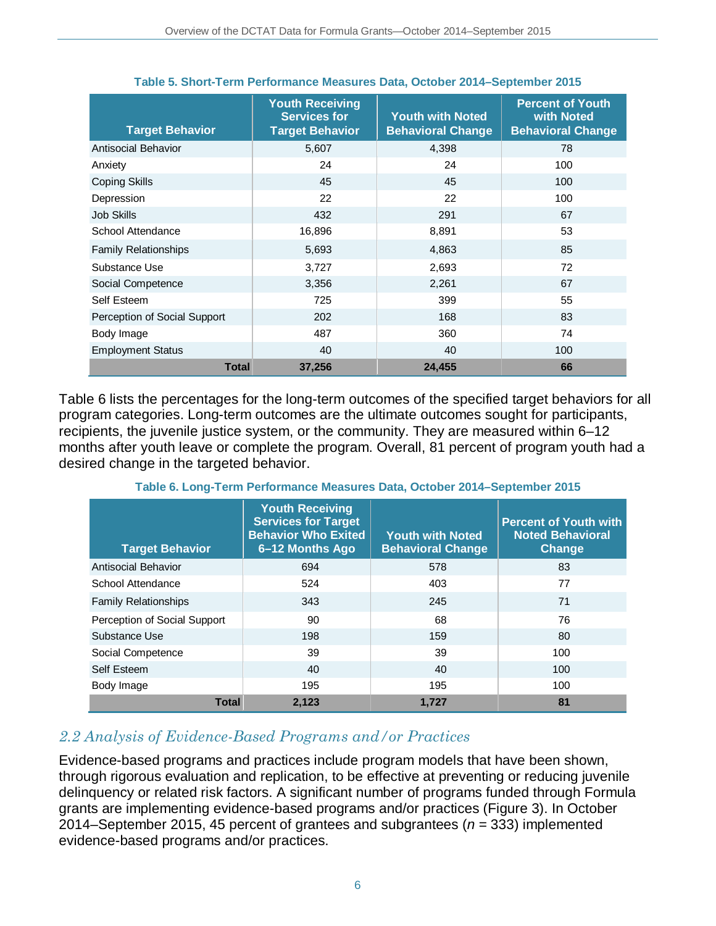| <b>Target Behavior</b>       | <b>Youth Receiving</b><br><b>Services for</b><br><b>Target Behavior</b> | <b>Youth with Noted</b><br><b>Behavioral Change</b> | <b>Percent of Youth</b><br>with Noted<br><b>Behavioral Change</b> |
|------------------------------|-------------------------------------------------------------------------|-----------------------------------------------------|-------------------------------------------------------------------|
| <b>Antisocial Behavior</b>   | 5,607                                                                   | 4,398                                               | 78                                                                |
| Anxiety                      | 24                                                                      | 24                                                  | 100                                                               |
| <b>Coping Skills</b>         | 45                                                                      | 45                                                  | 100                                                               |
| Depression                   | 22                                                                      | 22                                                  | 100                                                               |
| <b>Job Skills</b>            | 432                                                                     | 291                                                 | 67                                                                |
| School Attendance            | 16,896                                                                  | 8,891                                               | 53                                                                |
| <b>Family Relationships</b>  | 5,693                                                                   | 4,863                                               | 85                                                                |
| Substance Use                | 3,727                                                                   | 2,693                                               | 72                                                                |
| Social Competence            | 3,356                                                                   | 2,261                                               | 67                                                                |
| Self Esteem                  | 725                                                                     | 399                                                 | 55                                                                |
| Perception of Social Support | 202                                                                     | 168                                                 | 83                                                                |
| Body Image                   | 487                                                                     | 360                                                 | 74                                                                |
| <b>Employment Status</b>     | 40                                                                      | 40                                                  | 100                                                               |
| <b>Total</b>                 | 37,256                                                                  | 24,455                                              | 66                                                                |

#### **Table 5. Short-Term Performance Measures Data, October 2014–September 2015**

Table 6 lists the percentages for the long-term outcomes of the specified target behaviors for all program categories. Long-term outcomes are the ultimate outcomes sought for participants, recipients, the juvenile justice system, or the community. They are measured within 6–12 months after youth leave or complete the program. Overall, 81 percent of program youth had a desired change in the targeted behavior.

| <b>Target Behavior</b>       | <b>Youth Receiving</b><br><b>Services for Target</b><br><b>Behavior Who Exited</b><br>6–12 Months Ago | <b>Youth with Noted</b><br><b>Behavioral Change</b> | <b>Percent of Youth with</b><br><b>Noted Behavioral</b><br>Change |
|------------------------------|-------------------------------------------------------------------------------------------------------|-----------------------------------------------------|-------------------------------------------------------------------|
| <b>Antisocial Behavior</b>   | 694                                                                                                   | 578                                                 | 83                                                                |
| School Attendance            | 524                                                                                                   | 403                                                 | 77                                                                |
| <b>Family Relationships</b>  | 343                                                                                                   | 245                                                 | 71                                                                |
| Perception of Social Support | 90                                                                                                    | 68                                                  | 76                                                                |
| Substance Use                | 198                                                                                                   | 159                                                 | 80                                                                |
| Social Competence            | 39                                                                                                    | 39                                                  | 100                                                               |
| Self Esteem                  | 40                                                                                                    | 40                                                  | 100                                                               |
| Body Image                   | 195                                                                                                   | 195                                                 | 100                                                               |
| <b>Total</b>                 | 2,123                                                                                                 | 1.727                                               | 81                                                                |

**Table 6. Long-Term Performance Measures Data, October 2014–September 2015**

### *2.2 Analysis of Evidence-Based Programs and/or Practices*

Evidence-based programs and practices include program models that have been shown, through rigorous evaluation and replication, to be effective at preventing or reducing juvenile delinquency or related risk factors. A significant number of programs funded through Formula grants are implementing evidence-based programs and/or practices (Figure 3). In October 2014–September 2015, 45 percent of grantees and subgrantees (*n* = 333) implemented evidence-based programs and/or practices.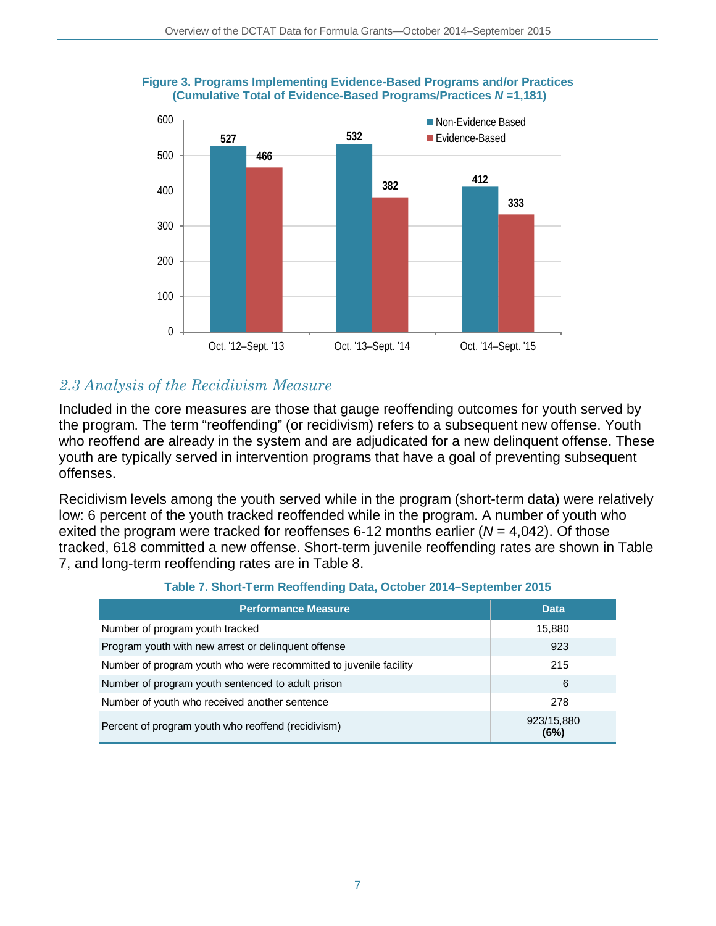

#### **Figure 3. Programs Implementing Evidence-Based Programs and/or Practices (Cumulative Total of Evidence-Based Programs/Practices** *N* **=1,181)**

# *2.3 Analysis of the Recidivism Measure*

Included in the core measures are those that gauge reoffending outcomes for youth served by the program. The term "reoffending" (or recidivism) refers to a subsequent new offense. Youth who reoffend are already in the system and are adjudicated for a new delinquent offense. These youth are typically served in intervention programs that have a goal of preventing subsequent offenses.

Recidivism levels among the youth served while in the program (short-term data) were relatively low: 6 percent of the youth tracked reoffended while in the program. A number of youth who exited the program were tracked for reoffenses 6-12 months earlier ( $N = 4,042$ ). Of those tracked, 618 committed a new offense. Short-term juvenile reoffending rates are shown in Table 7, and long-term reoffending rates are in Table 8.

| <b>Performance Measure</b>                                        | <b>Data</b>        |
|-------------------------------------------------------------------|--------------------|
| Number of program youth tracked                                   | 15,880             |
| Program youth with new arrest or delinguent offense               | 923                |
| Number of program youth who were recommitted to juvenile facility | 215                |
| Number of program youth sentenced to adult prison                 | 6                  |
| Number of youth who received another sentence                     | 278                |
| Percent of program youth who reoffend (recidivism)                | 923/15,880<br>(6%) |

#### **Table 7. Short-Term Reoffending Data, October 2014–September 2015**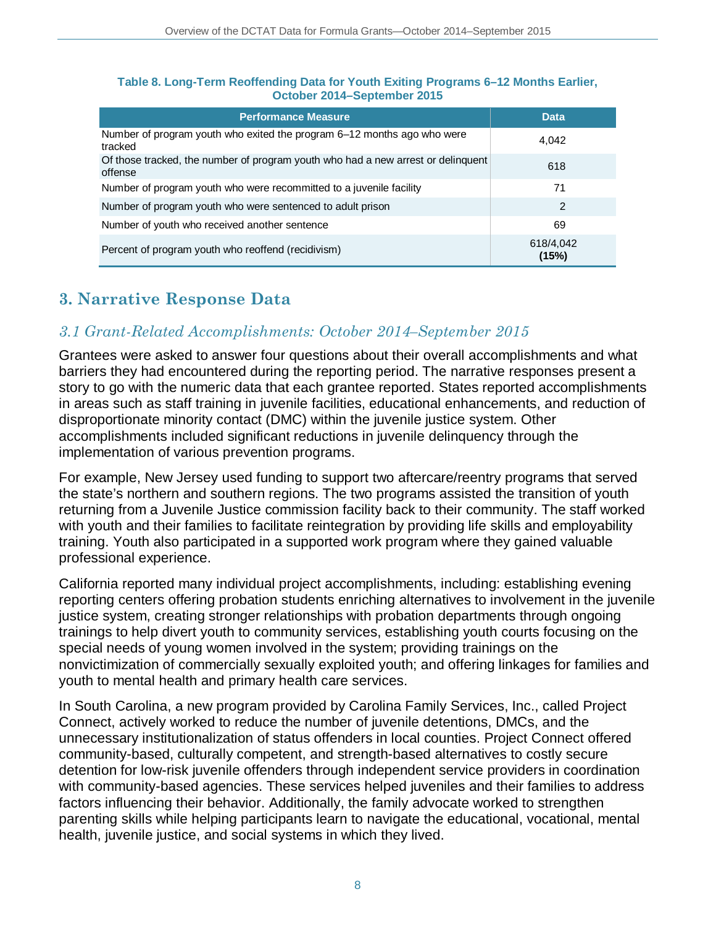| <b>Performance Measure</b>                                                                  | Data               |
|---------------------------------------------------------------------------------------------|--------------------|
| Number of program youth who exited the program 6–12 months ago who were<br>tracked          | 4.042              |
| Of those tracked, the number of program youth who had a new arrest or delinquent<br>offense | 618                |
| Number of program youth who were recommitted to a juvenile facility                         | 71                 |
| Number of program youth who were sentenced to adult prison                                  | 2                  |
| Number of youth who received another sentence                                               | 69                 |
| Percent of program youth who reoffend (recidivism)                                          | 618/4,042<br>(15%) |

#### **Table 8. Long-Term Reoffending Data for Youth Exiting Programs 6–12 Months Earlier, October 2014–September 2015**

# **3. Narrative Response Data**

### *3.1 Grant-Related Accomplishments: October 2014–September 2015*

Grantees were asked to answer four questions about their overall accomplishments and what barriers they had encountered during the reporting period. The narrative responses present a story to go with the numeric data that each grantee reported. States reported accomplishments in areas such as staff training in juvenile facilities, educational enhancements, and reduction of disproportionate minority contact (DMC) within the juvenile justice system. Other accomplishments included significant reductions in juvenile delinquency through the implementation of various prevention programs.

For example, New Jersey used funding to support two aftercare/reentry programs that served the state's northern and southern regions. The two programs assisted the transition of youth returning from a Juvenile Justice commission facility back to their community. The staff worked with youth and their families to facilitate reintegration by providing life skills and employability training. Youth also participated in a supported work program where they gained valuable professional experience.

California reported many individual project accomplishments, including: establishing evening reporting centers offering probation students enriching alternatives to involvement in the juvenile justice system, creating stronger relationships with probation departments through ongoing trainings to help divert youth to community services, establishing youth courts focusing on the special needs of young women involved in the system; providing trainings on the nonvictimization of commercially sexually exploited youth; and offering linkages for families and youth to mental health and primary health care services.

In South Carolina, a new program provided by Carolina Family Services, Inc., called Project Connect, actively worked to reduce the number of juvenile detentions, DMCs, and the unnecessary institutionalization of status offenders in local counties. Project Connect offered community-based, culturally competent, and strength-based alternatives to costly secure detention for low-risk juvenile offenders through independent service providers in coordination with community-based agencies. These services helped juveniles and their families to address factors influencing their behavior. Additionally, the family advocate worked to strengthen parenting skills while helping participants learn to navigate the educational, vocational, mental health, juvenile justice, and social systems in which they lived.